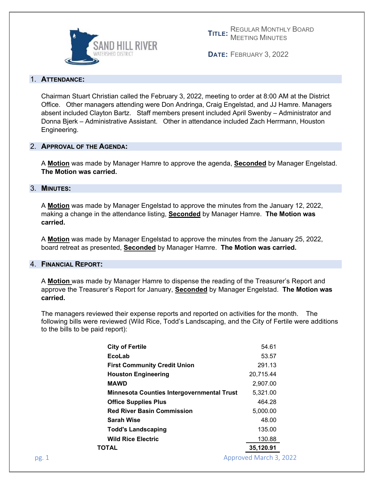

**TITLE:** MEETING MINUTES REGULAR MONTHLY BOARD

**DATE:** FEBRUARY 3, 2022

### 1. **ATTENDANCE:**

Chairman Stuart Christian called the February 3, 2022, meeting to order at 8:00 AM at the District Office. Other managers attending were Don Andringa, Craig Engelstad, and JJ Hamre. Managers absent included Clayton Bartz. Staff members present included April Swenby – Administrator and Donna Bjerk – Administrative Assistant. Other in attendance included Zach Herrmann, Houston Engineering.

### 2. **APPROVAL OF THE AGENDA:**

A **Motion** was made by Manager Hamre to approve the agenda, **Seconded** by Manager Engelstad. **The Motion was carried.** 

# 3. **MINUTES:**

A **Motion** was made by Manager Engelstad to approve the minutes from the January 12, 2022, making a change in the attendance listing, **Seconded** by Manager Hamre. **The Motion was carried.** 

A **Motion** was made by Manager Engelstad to approve the minutes from the January 25, 2022, board retreat as presented, **Seconded** by Manager Hamre. **The Motion was carried.** 

### 4. **FINANCIAL REPORT:**

A **Motion** was made by Manager Hamre to dispense the reading of the Treasurer's Report and approve the Treasurer's Report for January, **Seconded** by Manager Engelstad. **The Motion was carried.**

The managers reviewed their expense reports and reported on activities for the month. The following bills were reviewed (Wild Rice, Todd's Landscaping, and the City of Fertile were additions to the bills to be paid report):

| EcoLab                                            | 53.57     |
|---------------------------------------------------|-----------|
| <b>First Community Credit Union</b>               | 291.13    |
| <b>Houston Engineering</b>                        | 20.715.44 |
| <b>MAWD</b>                                       | 2,907.00  |
| <b>Minnesota Counties Intergovernmental Trust</b> | 5,321.00  |
| <b>Office Supplies Plus</b>                       | 464.28    |
| <b>Red River Basin Commission</b>                 | 5,000.00  |
| Sarah Wise                                        | 48.00     |
| <b>Todd's Landscaping</b>                         | 135.00    |
| <b>Wild Rice Electric</b>                         | 130.88    |
| ΤΩΤΑL                                             | 35,120.91 |
|                                                   |           |

pg. 1 Approved March 3, 2022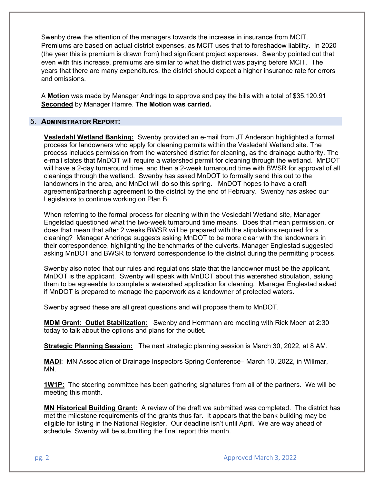Swenby drew the attention of the managers towards the increase in insurance from MCIT. Premiums are based on actual district expenses, as MCIT uses that to foreshadow liability. In 2020 (the year this is premium is drawn from) had significant project expenses. Swenby pointed out that even with this increase, premiums are similar to what the district was paying before MCIT. The years that there are many expenditures, the district should expect a higher insurance rate for errors and omissions.

A **Motion** was made by Manager Andringa to approve and pay the bills with a total of \$35,120.91 **Seconded** by Manager Hamre. **The Motion was carried.** 

### 5. **ADMINISTRATOR REPORT:**

**Vesledahl Wetland Banking:** Swenby provided an e-mail from JT Anderson highlighted a formal process for landowners who apply for cleaning permits within the Vesledahl Wetland site. The process includes permission from the watershed district for cleaning, as the drainage authority. The e-mail states that MnDOT will require a watershed permit for cleaning through the wetland. MnDOT will have a 2-day turnaround time, and then a 2-week turnaround time with BWSR for approval of all cleanings through the wetland. Swenby has asked MnDOT to formally send this out to the landowners in the area, and MnDot will do so this spring. MnDOT hopes to have a draft agreement/partnership agreement to the district by the end of February. Swenby has asked our Legislators to continue working on Plan B.

When referring to the formal process for cleaning within the Vesledahl Wetland site, Manager Engelstad questioned what the two-week turnaround time means. Does that mean permission, or does that mean that after 2 weeks BWSR will be prepared with the stipulations required for a cleaning? Manager Andringa suggests asking MnDOT to be more clear with the landowners in their correspondence, highlighting the benchmarks of the culverts. Manager Englestad suggested asking MnDOT and BWSR to forward correspondence to the district during the permitting process.

Swenby also noted that our rules and regulations state that the landowner must be the applicant. MnDOT is the applicant. Swenby will speak with MnDOT about this watershed stipulation, asking them to be agreeable to complete a watershed application for cleaning. Manager Englestad asked if MnDOT is prepared to manage the paperwork as a landowner of protected waters.

Swenby agreed these are all great questions and will propose them to MnDOT.

**MDM Grant: Outlet Stabilization:** Swenby and Herrmann are meeting with Rick Moen at 2:30 today to talk about the options and plans for the outlet.

**Strategic Planning Session:** The next strategic planning session is March 30, 2022, at 8 AM.

**MADI**: MN Association of Drainage Inspectors Spring Conference– March 10, 2022, in Willmar, MN.

**1W1P:** The steering committee has been gathering signatures from all of the partners. We will be meeting this month.

**MN Historical Building Grant:** A review of the draft we submitted was completed. The district has met the milestone requirements of the grants thus far. It appears that the bank building may be eligible for listing in the National Register. Our deadline isn't until April. We are way ahead of schedule. Swenby will be submitting the final report this month.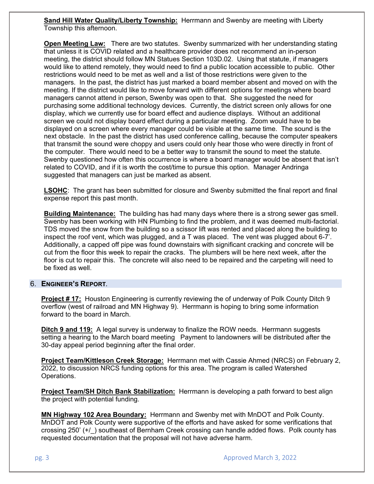**Sand Hill Water Quality/Liberty Township:** Herrmann and Swenby are meeting with Liberty Township this afternoon.

**Open Meeting Law:** There are two statutes. Swenby summarized with her understanding stating that unless it is COVID related and a healthcare provider does not recommend an in-person meeting, the district should follow MN Statues Section 103D.02. Using that statute, if managers would like to attend remotely, they would need to find a public location accessible to public. Other restrictions would need to be met as well and a list of those restrictions were given to the managers. In the past, the district has just marked a board member absent and moved on with the meeting. If the district would like to move forward with different options for meetings where board managers cannot attend in person, Swenby was open to that. She suggested the need for purchasing some additional technology devices. Currently, the district screen only allows for one display, which we currently use for board effect and audience displays. Without an additional screen we could not display board effect during a particular meeting. Zoom would have to be displayed on a screen where every manager could be visible at the same time. The sound is the next obstacle. In the past the district has used conference calling, because the computer speakers that transmit the sound were choppy and users could only hear those who were directly in front of the computer. There would need to be a better way to transmit the sound to meet the statute. Swenby questioned how often this occurrence is where a board manager would be absent that isn't related to COVID, and if it is worth the cost/time to pursue this option. Manager Andringa suggested that managers can just be marked as absent.

**LSOHC**: The grant has been submitted for closure and Swenby submitted the final report and final expense report this past month.

**Building Maintenance:** The building has had many days where there is a strong sewer gas smell. Swenby has been working with HN Plumbing to find the problem, and it was deemed multi-factorial. TDS moved the snow from the building so a scissor lift was rented and placed along the building to inspect the roof vent, which was plugged, and a T was placed. The vent was plugged about 6-7'. Additionally, a capped off pipe was found downstairs with significant cracking and concrete will be cut from the floor this week to repair the cracks. The plumbers will be here next week, after the floor is cut to repair this. The concrete will also need to be repaired and the carpeting will need to be fixed as well.

# 6. **ENGINEER'S REPORT***.*

**Project # 17:** Houston Engineering is currently reviewing the of underway of Polk County Ditch 9 overflow (west of railroad and MN Highway 9). Herrmann is hoping to bring some information forward to the board in March.

**Ditch 9 and 119:** A legal survey is underway to finalize the ROW needs. Herrmann suggests setting a hearing to the March board meeting Payment to landowners will be distributed after the 30-day appeal period beginning after the final order.

**Project Team/Kittleson Creek Storage:** Herrmann met with Cassie Ahmed (NRCS) on February 2, 2022, to discussion NRCS funding options for this area. The program is called Watershed Operations.

**Project Team/SH Ditch Bank Stabilization:** Herrmann is developing a path forward to best align the project with potential funding.

**MN Highway 102 Area Boundary:** Herrmann and Swenby met with MnDOT and Polk County. MnDOT and Polk County were supportive of the efforts and have asked for some verifications that crossing 250' (+/) southeast of Bernham Creek crossing can handle added flows. Polk county has requested documentation that the proposal will not have adverse harm.